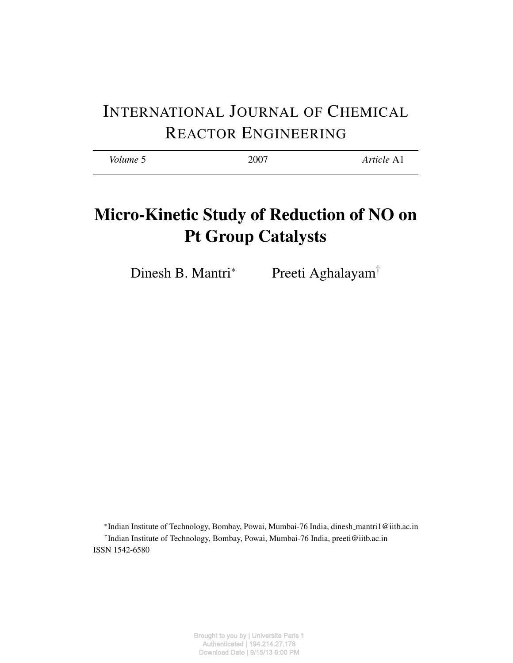# INTERNATIONAL JOURNAL OF CHEMICAL REACTOR ENGINEERING

| Volume 5 | 2007 | Article A1 |
|----------|------|------------|
|          |      |            |

# Micro-Kinetic Study of Reduction of NO on Pt Group Catalysts

Dinesh B. Mantri<sup>∗</sup> Preeti Aghalayam<sup>†</sup>

∗ Indian Institute of Technology, Bombay, Powai, Mumbai-76 India, dinesh mantri1@iitb.ac.in † Indian Institute of Technology, Bombay, Powai, Mumbai-76 India, preeti@iitb.ac.in ISSN 1542-6580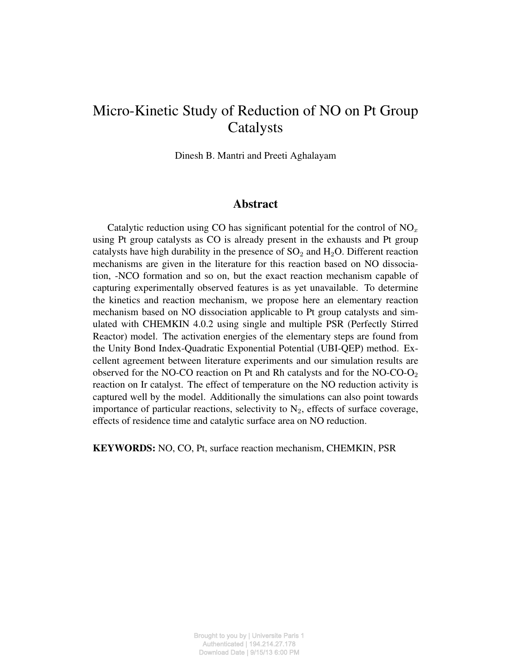# Micro-Kinetic Study of Reduction of NO on Pt Group Catalysts

Dinesh B. Mantri and Preeti Aghalayam

# Abstract

Catalytic reduction using CO has significant potential for the control of  $NO<sub>x</sub>$ using Pt group catalysts as CO is already present in the exhausts and Pt group catalysts have high durability in the presence of  $SO_2$  and  $H_2O$ . Different reaction mechanisms are given in the literature for this reaction based on NO dissociation, -NCO formation and so on, but the exact reaction mechanism capable of capturing experimentally observed features is as yet unavailable. To determine the kinetics and reaction mechanism, we propose here an elementary reaction mechanism based on NO dissociation applicable to Pt group catalysts and simulated with CHEMKIN 4.0.2 using single and multiple PSR (Perfectly Stirred Reactor) model. The activation energies of the elementary steps are found from the Unity Bond Index-Quadratic Exponential Potential (UBI-QEP) method. Excellent agreement between literature experiments and our simulation results are observed for the NO-CO reaction on Pt and Rh catalysts and for the NO-CO- $O<sub>2</sub>$ reaction on Ir catalyst. The effect of temperature on the NO reduction activity is captured well by the model. Additionally the simulations can also point towards importance of particular reactions, selectivity to  $N_2$ , effects of surface coverage, effects of residence time and catalytic surface area on NO reduction.

KEYWORDS: NO, CO, Pt, surface reaction mechanism, CHEMKIN, PSR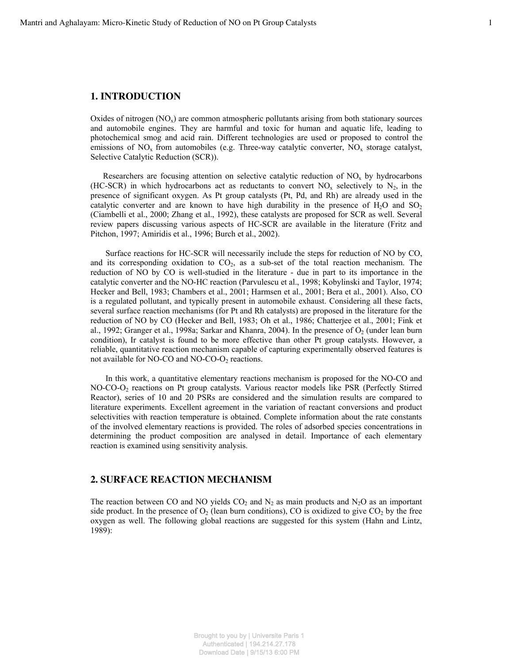#### **1. INTRODUCTION**

Oxides of nitrogen  $(NO<sub>x</sub>)$  are common atmospheric pollutants arising from both stationary sources and automobile engines. They are harmful and toxic for human and aquatic life, leading to photochemical smog and acid rain. Different technologies are used or proposed to control the emissions of  $NO<sub>x</sub>$  from automobiles (e.g. Three-way catalytic converter,  $NO<sub>x</sub>$  storage catalyst, Selective Catalytic Reduction (SCR)).

Researchers are focusing attention on selective catalytic reduction of  $NO<sub>x</sub>$  by hydrocarbons (HC-SCR) in which hydrocarbons act as reductants to convert  $NO<sub>x</sub>$  selectively to  $N<sub>2</sub>$ , in the presence of significant oxygen. As Pt group catalysts (Pt, Pd, and Rh) are already used in the catalytic converter and are known to have high durability in the presence of  $H_2O$  and  $SO_2$ (Ciambelli et al., 2000; Zhang et al., 1992), these catalysts are proposed for SCR as well. Several review papers discussing various aspects of HC-SCR are available in the literature (Fritz and Pitchon, 1997; Amiridis et al., 1996; Burch et al., 2002).

Surface reactions for HC-SCR will necessarily include the steps for reduction of NO by CO, and its corresponding oxidation to  $CO<sub>2</sub>$ , as a sub-set of the total reaction mechanism. The reduction of NO by CO is well-studied in the literature - due in part to its importance in the catalytic converter and the NO-HC reaction (Parvulescu et al., 1998; Kobylinski and Taylor, 1974; Hecker and Bell, 1983; Chambers et al., 2001; Harmsen et al., 2001; Bera et al., 2001). Also, CO is a regulated pollutant, and typically present in automobile exhaust. Considering all these facts, several surface reaction mechanisms (for Pt and Rh catalysts) are proposed in the literature for the reduction of NO by CO (Hecker and Bell, 1983; Oh et al., 1986; Chatterjee et al., 2001; Fink et al., 1992; Granger et al., 1998a; Sarkar and Khanra, 2004). In the presence of  $O_2$  (under lean burn condition), Ir catalyst is found to be more effective than other Pt group catalysts. However, a reliable, quantitative reaction mechanism capable of capturing experimentally observed features is not available for NO-CO and NO-CO-O<sub>2</sub> reactions.

In this work, a quantitative elementary reactions mechanism is proposed for the NO-CO and NO-CO-O2 reactions on Pt group catalysts. Various reactor models like PSR (Perfectly Stirred Reactor), series of 10 and 20 PSRs are considered and the simulation results are compared to literature experiments. Excellent agreement in the variation of reactant conversions and product selectivities with reaction temperature is obtained. Complete information about the rate constants of the involved elementary reactions is provided. The roles of adsorbed species concentrations in determining the product composition are analysed in detail. Importance of each elementary reaction is examined using sensitivity analysis.

# **2. SURFACE REACTION MECHANISM**

The reaction between CO and NO yields  $CO<sub>2</sub>$  and N<sub>2</sub> as main products and N<sub>2</sub>O as an important side product. In the presence of  $O_2$  (lean burn conditions), CO is oxidized to give  $CO_2$  by the free oxygen as well. The following global reactions are suggested for this system (Hahn and Lintz, 1989):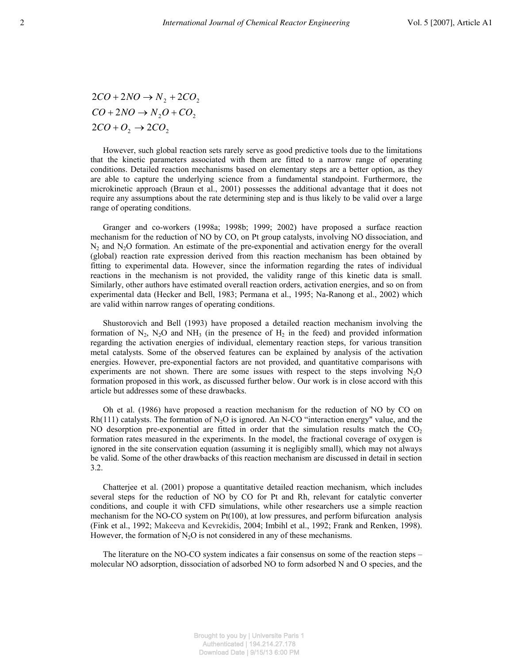$2CO + O_2 \rightarrow 2CO_2$  $CO + 2NO \rightarrow N_2O + CO_2$  $2CO + 2NO \rightarrow N_2 + 2CO_2$ 

However, such global reaction sets rarely serve as good predictive tools due to the limitations that the kinetic parameters associated with them are fitted to a narrow range of operating conditions. Detailed reaction mechanisms based on elementary steps are a better option, as they are able to capture the underlying science from a fundamental standpoint. Furthermore, the microkinetic approach (Braun et al., 2001) possesses the additional advantage that it does not require any assumptions about the rate determining step and is thus likely to be valid over a large range of operating conditions.

Granger and co-workers (1998a; 1998b; 1999; 2002) have proposed a surface reaction mechanism for the reduction of NO by CO, on Pt group catalysts, involving NO dissociation, and  $N_2$  and  $N_2O$  formation. An estimate of the pre-exponential and activation energy for the overall (global) reaction rate expression derived from this reaction mechanism has been obtained by fitting to experimental data. However, since the information regarding the rates of individual reactions in the mechanism is not provided, the validity range of this kinetic data is small. Similarly, other authors have estimated overall reaction orders, activation energies, and so on from experimental data (Hecker and Bell, 1983; Permana et al., 1995; Na-Ranong et al., 2002) which are valid within narrow ranges of operating conditions.

Shustorovich and Bell (1993) have proposed a detailed reaction mechanism involving the formation of N<sub>2</sub>, N<sub>2</sub>O and NH<sub>3</sub> (in the presence of H<sub>2</sub> in the feed) and provided information regarding the activation energies of individual, elementary reaction steps, for various transition metal catalysts. Some of the observed features can be explained by analysis of the activation energies. However, pre-exponential factors are not provided, and quantitative comparisons with experiments are not shown. There are some issues with respect to the steps involving  $N_2O$ formation proposed in this work, as discussed further below. Our work is in close accord with this article but addresses some of these drawbacks.

 Oh et al. (1986) have proposed a reaction mechanism for the reduction of NO by CO on Rh(111) catalysts. The formation of  $N_2O$  is ignored. An N-CO "interaction energy" value, and the NO desorption pre-exponential are fitted in order that the simulation results match the  $CO<sub>2</sub>$ formation rates measured in the experiments. In the model, the fractional coverage of oxygen is ignored in the site conservation equation (assuming it is negligibly small), which may not always be valid. Some of the other drawbacks of this reaction mechanism are discussed in detail in section 3.2.

Chatterjee et al. (2001) propose a quantitative detailed reaction mechanism, which includes several steps for the reduction of NO by CO for Pt and Rh, relevant for catalytic converter conditions, and couple it with CFD simulations, while other researchers use a simple reaction mechanism for the NO-CO system on  $Pt(100)$ , at low pressures, and perform bifurcation analysis (Fink et al., 1992; Makeeva and Kevrekidis, 2004; Imbihl et al., 1992; Frank and Renken, 1998). However, the formation of  $N<sub>2</sub>O$  is not considered in any of these mechanisms.

The literature on the NO-CO system indicates a fair consensus on some of the reaction steps – molecular NO adsorption, dissociation of adsorbed NO to form adsorbed N and O species, and the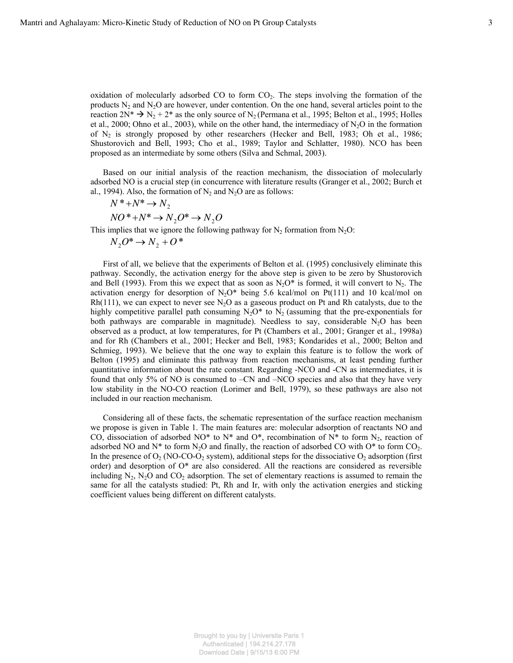oxidation of molecularly adsorbed CO to form  $CO<sub>2</sub>$ . The steps involving the formation of the products  $N_2$  and  $N_2O$  are however, under contention. On the one hand, several articles point to the reaction  $2N^* \rightarrow N_2 + 2^*$  as the only source of N<sub>2</sub> (Permana et al., 1995; Belton et al., 1995; Holles et al., 2000; Ohno et al., 2003), while on the other hand, the intermediacy of  $N_2O$  in the formation of  $N_2$  is strongly proposed by other researchers (Hecker and Bell, 1983; Oh et al., 1986; Shustorovich and Bell, 1993; Cho et al., 1989; Taylor and Schlatter, 1980). NCO has been proposed as an intermediate by some others (Silva and Schmal, 2003).

Based on our initial analysis of the reaction mechanism, the dissociation of molecularly adsorbed NO is a crucial step (in concurrence with literature results (Granger et al., 2002; Burch et al., 1994). Also, the formation of  $N_2$  and  $N_2O$  are as follows:

$$
N^* + N^* \to N_2
$$
  

$$
NO^* + N^* \to N_2O^* \to N_2O
$$

This implies that we ignore the following pathway for  $N_2$  formation from  $N_2O$ :

 $N_2O^* \rightarrow N_2 + O^*$ 

First of all, we believe that the experiments of Belton et al. (1995) conclusively eliminate this pathway. Secondly, the activation energy for the above step is given to be zero by Shustorovich and Bell (1993). From this we expect that as soon as  $N_2O^*$  is formed, it will convert to  $N_2$ . The activation energy for desorption of  $N_2O^*$  being 5.6 kcal/mol on Pt(111) and 10 kcal/mol on Rh(111), we can expect to never see N<sub>2</sub>O as a gaseous product on Pt and Rh catalysts, due to the highly competitive parallel path consuming  $N_2O^*$  to  $N_2$  (assuming that the pre-exponentials for both pathways are comparable in magnitude). Needless to say, considerable N<sub>2</sub>O has been observed as a product, at low temperatures, for Pt (Chambers et al., 2001; Granger et al., 1998a) and for Rh (Chambers et al., 2001; Hecker and Bell, 1983; Kondarides et al., 2000; Belton and Schmieg, 1993). We believe that the one way to explain this feature is to follow the work of Belton (1995) and eliminate this pathway from reaction mechanisms, at least pending further quantitative information about the rate constant. Regarding -NCO and -CN as intermediates, it is found that only 5% of NO is consumed to –CN and –NCO species and also that they have very low stability in the NO-CO reaction (Lorimer and Bell, 1979), so these pathways are also not included in our reaction mechanism.

Considering all of these facts, the schematic representation of the surface reaction mechanism we propose is given in Table 1. The main features are: molecular adsorption of reactants NO and CO, dissociation of adsorbed NO\* to N\* and O\*, recombination of N\* to form  $N_2$ , reaction of adsorbed NO and  $N^*$  to form  $N_2O$  and finally, the reaction of adsorbed CO with O\* to form CO<sub>2</sub>. In the presence of  $O_2$  (NO-CO-O<sub>2</sub> system), additional steps for the dissociative  $O_2$  adsorption (first order) and desorption of O\* are also considered. All the reactions are considered as reversible including  $N_2$ ,  $N_2O$  and  $CO_2$  adsorption. The set of elementary reactions is assumed to remain the same for all the catalysts studied: Pt, Rh and Ir, with only the activation energies and sticking coefficient values being different on different catalysts.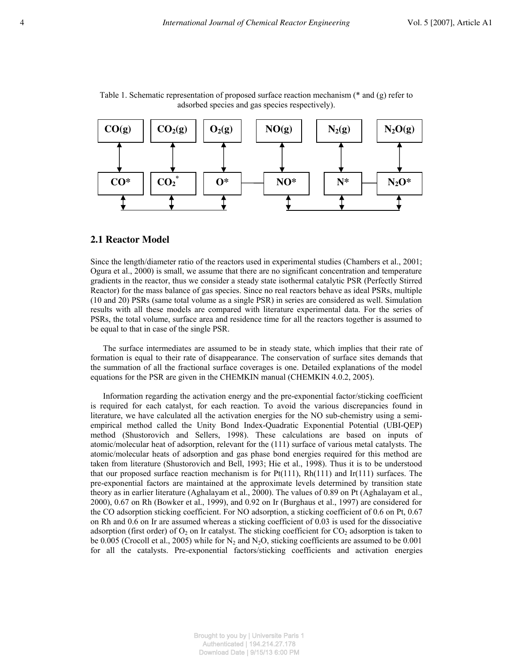

Table 1. Schematic representation of proposed surface reaction mechanism (\* and (g) refer to adsorbed species and gas species respectively).

#### **2.1 Reactor Model**

Since the length/diameter ratio of the reactors used in experimental studies (Chambers et al., 2001; Ogura et al., 2000) is small, we assume that there are no significant concentration and temperature gradients in the reactor, thus we consider a steady state isothermal catalytic PSR (Perfectly Stirred Reactor) for the mass balance of gas species. Since no real reactors behave as ideal PSRs, multiple (10 and 20) PSRs (same total volume as a single PSR) in series are considered as well. Simulation results with all these models are compared with literature experimental data. For the series of PSRs, the total volume, surface area and residence time for all the reactors together is assumed to be equal to that in case of the single PSR.

The surface intermediates are assumed to be in steady state, which implies that their rate of formation is equal to their rate of disappearance. The conservation of surface sites demands that the summation of all the fractional surface coverages is one. Detailed explanations of the model equations for the PSR are given in the CHEMKIN manual (CHEMKIN 4.0.2, 2005).

Information regarding the activation energy and the pre-exponential factor/sticking coefficient is required for each catalyst, for each reaction. To avoid the various discrepancies found in literature, we have calculated all the activation energies for the NO sub-chemistry using a semiempirical method called the Unity Bond Index-Quadratic Exponential Potential (UBI-QEP) method (Shustorovich and Sellers, 1998). These calculations are based on inputs of atomic/molecular heat of adsorption, relevant for the (111) surface of various metal catalysts. The atomic/molecular heats of adsorption and gas phase bond energies required for this method are taken from literature (Shustorovich and Bell, 1993; Hie et al., 1998). Thus it is to be understood that our proposed surface reaction mechanism is for  $Pt(111)$ ,  $Rh(111)$  and  $Ir(111)$  surfaces. The pre-exponential factors are maintained at the approximate levels determined by transition state theory as in earlier literature (Aghalayam et al., 2000). The values of 0.89 on Pt (Aghalayam et al., 2000), 0.67 on Rh (Bowker et al., 1999), and 0.92 on Ir (Burghaus et al., 1997) are considered for the CO adsorption sticking coefficient. For NO adsorption, a sticking coefficient of 0.6 on Pt, 0.67 on Rh and 0.6 on Ir are assumed whereas a sticking coefficient of 0.03 is used for the dissociative adsorption (first order) of  $O_2$  on Ir catalyst. The sticking coefficient for  $CO_2$  adsorption is taken to be 0.005 (Crocoll et al., 2005) while for  $N_2$  and  $N_2O$ , sticking coefficients are assumed to be 0.001 for all the catalysts. Pre-exponential factors/sticking coefficients and activation energies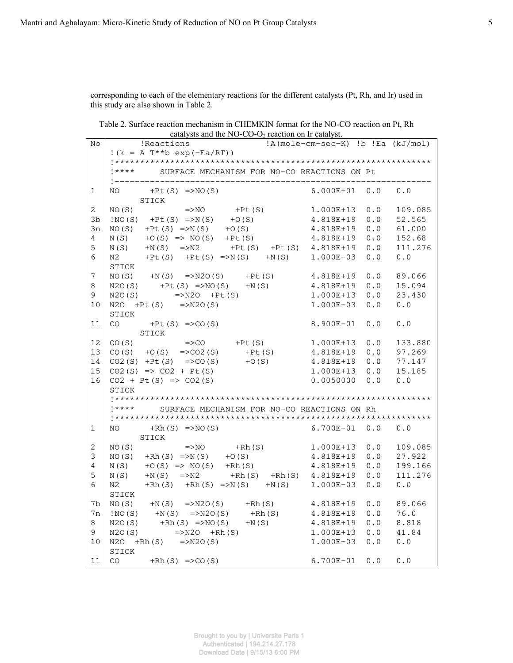corresponding to each of the elementary reactions for the different catalysts (Pt, Rh, and Ir) used in this study are also shown in Table 2.

Table 2. Surface reaction mechanism in CHEMKIN format for the NO-CO reaction on Pt, Rh catalysts and the NO-CO-O<sub>2</sub> reaction on Ir catalyst.

| No             | calarysis and the $100^\circ$ CO $0.02$ reaction on it calarysi.<br>Reactions       |                     |                  |  |  |  |  |  |
|----------------|-------------------------------------------------------------------------------------|---------------------|------------------|--|--|--|--|--|
|                | !A(mole-cm-sec-K) !b !Ea (kJ/mol)<br>$!(k = A T^{**}b exp(-Ea/RT))$                 |                     |                  |  |  |  |  |  |
|                |                                                                                     |                     |                  |  |  |  |  |  |
|                | !**** SURFACE MECHANISM FOR NO-CO REACTIONS ON Pt                                   |                     |                  |  |  |  |  |  |
|                |                                                                                     |                     |                  |  |  |  |  |  |
| $\mathbf 1$    | NO $+Pt(S)$ =>NO(S)                                                                 | $6.000E-01$ 0.0 0.0 |                  |  |  |  |  |  |
|                | STICK                                                                               |                     |                  |  |  |  |  |  |
| $\mathbf{2}$   | $\Rightarrow NO$ +Pt (S)<br>NO(S)                                                   | $1.000E+13$ 0.0     | 109.085          |  |  |  |  |  |
|                | $\text{INO}(S)$ +Pt (S) =>N(S) +O(S)                                                | 4.818E+19           |                  |  |  |  |  |  |
| 3b             |                                                                                     |                     | 0.0<br>52.565    |  |  |  |  |  |
| 3n             | NO(S) +Pt(S) =>N(S) +O(S) 4.818E+19 0.0<br>N(S) +O(S) => NO(S) +Pt(S) 4.818E+19 0.0 |                     | 61.000           |  |  |  |  |  |
| 4              |                                                                                     |                     | 152.68           |  |  |  |  |  |
| 5              | $N(S)$ + $N(S)$ => $N2$ + $Pt(S)$ + $Pt(S)$ 4.818E+19                               |                     | $0.0$<br>111.276 |  |  |  |  |  |
| 6              | $N2$ +Pt(S) +Pt(S) =>N(S) +N(S) 1.000E-03                                           |                     | 0.0<br>0.0       |  |  |  |  |  |
|                | STICK                                                                               |                     |                  |  |  |  |  |  |
| $\overline{7}$ | $NO(S)$ + $N(S)$ = > $N2O(S)$ + $Pt(S)$ 4.818E + 19                                 |                     | 0.0<br>89.066    |  |  |  |  |  |
| 8              | $N2O(S)$ +Pt (S) =>NO(S) +N(S)                                                      | 4.818E+19 0.0       | 15.094           |  |  |  |  |  |
| 9              | $\Rightarrow$ N2O +Pt (S)<br>:(S) =>N2O(S)<br>N2O(S)                                | $1.000E+13$ 0.0     | 23.430           |  |  |  |  |  |
| 10             | $N2O$ +Pt (S) =>N2O(S)                                                              | $1.000E - 03$       | 0.0<br>0.0       |  |  |  |  |  |
|                | STICK                                                                               |                     |                  |  |  |  |  |  |
| 11             | $CO$ +Pt (S) =>CO(S)                                                                | $8.900E - 01$       | 0.0<br>0.0       |  |  |  |  |  |
|                | STICK                                                                               |                     |                  |  |  |  |  |  |
| 12             | CO(S) $=$ >CO +Pt(S) $1.000E+13$ 0.0<br>CO(S) +O(S) = >CO2(S) +Pt(S) 4.818E+19 0.0  |                     | 133.880          |  |  |  |  |  |
| 13             |                                                                                     |                     | 97.269           |  |  |  |  |  |
| 14             | $CO2(S)$ +Pt (S) =>CO(S) +O(S)                                                      | 4.818E+19 0.0       | 77.147           |  |  |  |  |  |
| 15             | $CO2(S)$ => $CO2 + Pt(S)$                                                           | $1.000E+13$ 0.0     | 15.185           |  |  |  |  |  |
| 16             | $CO2 + Pt(S) \implies CO2(S)$                                                       | 0.0050000 0.0       | 0.0              |  |  |  |  |  |
|                | STICK                                                                               |                     |                  |  |  |  |  |  |
|                |                                                                                     |                     |                  |  |  |  |  |  |
|                | !**** SURFACE MECHANISM FOR NO-CO REACTIONS ON Rh                                   |                     |                  |  |  |  |  |  |
|                |                                                                                     |                     |                  |  |  |  |  |  |
| $\mathbf{1}$   | NO $+Rh(S)$ =>NO(S)                                                                 | $6.700E-01$ 0.0 0.0 |                  |  |  |  |  |  |
|                | STICK                                                                               |                     |                  |  |  |  |  |  |
| $\mathbf{2}$   |                                                                                     | $1.000E+13$ 0.0     | 109.085          |  |  |  |  |  |
| 3              | NO(S) =>NO +Rh(S)<br>NO(S) +Rh(S) =>N(S) +O(S)                                      | 4.818E+19  0.0      | 27.922           |  |  |  |  |  |
| 4              | N(S) $+O(S)$ => NO(S) +Rh(S) 4.818E+19                                              |                     | 0.0<br>199.166   |  |  |  |  |  |
| 5              |                                                                                     |                     | 111.276          |  |  |  |  |  |
| 6              | $N(S)$ +N(S) =>N2 +Rh(S) +Rh(S) 4.818E+19 0.0<br>N2                                 |                     |                  |  |  |  |  |  |
|                | $+Rh(S)$ $+Rh(S)$ $\Rightarrow N(S)$ $+N(S)$                                        | $1.000E-03$         | 0.0<br>0.0       |  |  |  |  |  |
|                | STICK                                                                               |                     |                  |  |  |  |  |  |
| 7b             | NO(S) +N(S) =>N2O(S) +Rh(S)<br>!NO(S) +N(S) =>N2O(S) +Rh(S)                         | 4.818E+19           | 0.0<br>89.066    |  |  |  |  |  |
| 7n             |                                                                                     | 4.818E+19           | 0.0<br>76.0      |  |  |  |  |  |
| 8              | $N20(S)$ +Rh (S) =>NO(S) +N(S)                                                      | 4.818E+19           | 0.0<br>8.818     |  |  |  |  |  |
| 9              | $=>N20$ +Rh (S)<br>$\therefore$ $\longrightarrow$ M20/S)<br>N2O(S)                  | 1.000E+13           | 0.0<br>41.84     |  |  |  |  |  |
| 10             | $N2O$ +Rh(S) =>N2O(S)                                                               | $1.000E-03$         | 0.0<br>0.0       |  |  |  |  |  |
|                | STICK                                                                               |                     |                  |  |  |  |  |  |
| 11             | $CO + Rh(S) = > CO(S)$                                                              | $6.700E - 01$ 0.0   | 0.0              |  |  |  |  |  |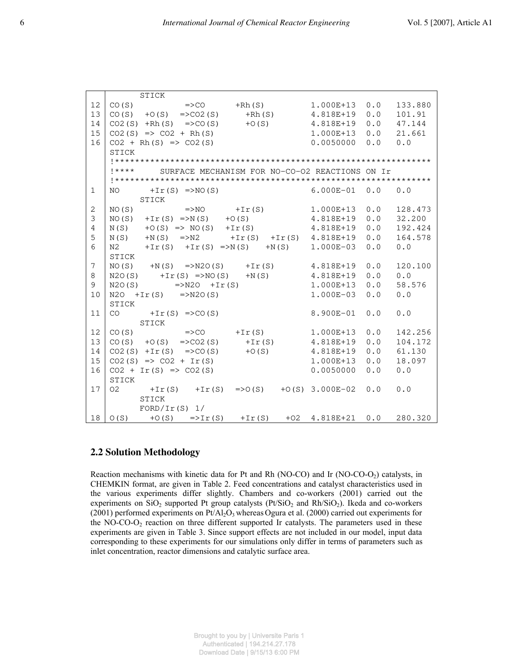|                 | STICK                                                                 |                               |  |  |  |  |  |
|-----------------|-----------------------------------------------------------------------|-------------------------------|--|--|--|--|--|
| 12              | $CO(S)$ =>CO +Rh(S)                                                   | 0.0<br>1.000E+13<br>133.880   |  |  |  |  |  |
| 13              | $CO(S)$ + O(S) = > CO2(S) + Rh(S) 4.818E+19                           | 0.0<br>101.91                 |  |  |  |  |  |
| 14              | $CO2(S)$ +Rh(S) =>CO(S) +O(S)                                         | 0.0<br>4.818E+19<br>47.144    |  |  |  |  |  |
| 15              | $CO2(S)$ => $CO2 + Rh(S)$                                             | 1.000E+13<br>0.0<br>21.661    |  |  |  |  |  |
| 16              | $CO2 + Rh(S) \implies CO2(S)$                                         | 0.0<br>0.0<br>0.0050000       |  |  |  |  |  |
|                 | STICK                                                                 |                               |  |  |  |  |  |
|                 |                                                                       |                               |  |  |  |  |  |
|                 | !**** SURFACE MECHANISM FOR NO-CO-O2 REACTIONS ON Ir                  |                               |  |  |  |  |  |
|                 |                                                                       |                               |  |  |  |  |  |
| $\mathbf{1}$    | NO $+Ir(S)$ =>NO(S)                                                   | $6.000E-01$ 0.0 0.0           |  |  |  |  |  |
|                 | STICK                                                                 |                               |  |  |  |  |  |
| 2               | $NO(S)$ => $NO$ +Ir(S)                                                | 0.0<br>128.473<br>1.000E+13   |  |  |  |  |  |
| 3               | NO(S) +Ir(S) =>N(S) +O(S)                                             | 0.0<br>32.200<br>4.818E+19    |  |  |  |  |  |
| $\overline{4}$  | $N(S)$ + 0(S) = > $NO(S)$ + Ir(S) 4.818E+19                           | 0.0<br>192.424                |  |  |  |  |  |
| 5               | $N(S)$ + $N(S)$ => $N2$ + $Ir(S)$ + $Ir(S)$ 4.818E+19                 | 0.0<br>164.578                |  |  |  |  |  |
| 6               | $+Ir(S)$ $+Ir(S)$ $\Rightarrow N(S)$ $+N(S)$ $1.000E-03$<br>N2        | 0.0<br>0.0                    |  |  |  |  |  |
|                 | STICK                                                                 |                               |  |  |  |  |  |
| $7\phantom{.0}$ | $NO(S)$ +N(S) =>N2O(S) +Ir(S)                                         | 4.818E+19<br>0.0<br>120.100   |  |  |  |  |  |
| 8               | $N2O(S)$ + I r (S) = > NO(S) + N(S)                                   | $0.0$<br>0.0<br>4.818E+19     |  |  |  |  |  |
| 9               | $N2O(S)$ =>N2O +Ir(S)                                                 | 0.0<br>58.576<br>1.000E+13    |  |  |  |  |  |
| 10              | $N2O + Ir(S)$ =>N2O(S)                                                | $1.000E - 03$<br>0.0<br>0.0   |  |  |  |  |  |
|                 | STICK                                                                 |                               |  |  |  |  |  |
| 11              | $CO + Ir(S) = > CO(S)$                                                | 0.0<br>$0.0$<br>8.900E-01     |  |  |  |  |  |
|                 | STICK                                                                 |                               |  |  |  |  |  |
| 12              | $CO(S)$ =>CO +Ir(S)                                                   | 0.0<br>142.256<br>1.000E+13   |  |  |  |  |  |
| 13              | $CO(S)$ + $O(S)$ = > $CO2(S)$ + Ir (S)                                | $0.0$<br>4.818E+19<br>104.172 |  |  |  |  |  |
| 14              | $CO2(S) + Ir(S)$ =>CO(S) +0(S)                                        | $0.0$<br>61.130<br>4.818E+19  |  |  |  |  |  |
| 15              | $CO2(S)$ => $CO2 + Ir(S)$                                             | 0.0<br>1.000E+13<br>18.097    |  |  |  |  |  |
| 16              | $CO2 + Ir(S) \Rightarrow CO2(S)$                                      | 0.0<br>0.0<br>0.0050000       |  |  |  |  |  |
|                 | STICK                                                                 |                               |  |  |  |  |  |
| 17              | 02 $+Ir(S)$ $+Ir(S)$ $=>0(S)$ $+O(S)$ 3.000E-02                       | $0.0 \t 0.0$                  |  |  |  |  |  |
|                 | STICK                                                                 |                               |  |  |  |  |  |
|                 | $FORD/Ir(S)$ 1/                                                       |                               |  |  |  |  |  |
|                 | $18 \mid O(S)$ + 0(S) = > Ir(S) + Ir(S) + 02 4.818 E + 21 0.0 280.320 |                               |  |  |  |  |  |

#### **2.2 Solution Methodology**

Reaction mechanisms with kinetic data for Pt and Rh (NO-CO) and Ir (NO-CO- $O<sub>2</sub>$ ) catalysts, in CHEMKIN format, are given in Table 2. Feed concentrations and catalyst characteristics used in the various experiments differ slightly. Chambers and co-workers (2001) carried out the experiments on  $SiO<sub>2</sub>$  supported Pt group catalysts (Pt/SiO<sub>2</sub> and Rh/SiO<sub>2</sub>). Ikeda and co-workers (2001) performed experiments on  $Pt/Al<sub>2</sub>O<sub>3</sub>$  whereas Ogura et al. (2000) carried out experiments for the NO-CO- $O_2$  reaction on three different supported Ir catalysts. The parameters used in these experiments are given in Table 3. Since support effects are not included in our model, input data corresponding to these experiments for our simulations only differ in terms of parameters such as inlet concentration, reactor dimensions and catalytic surface area.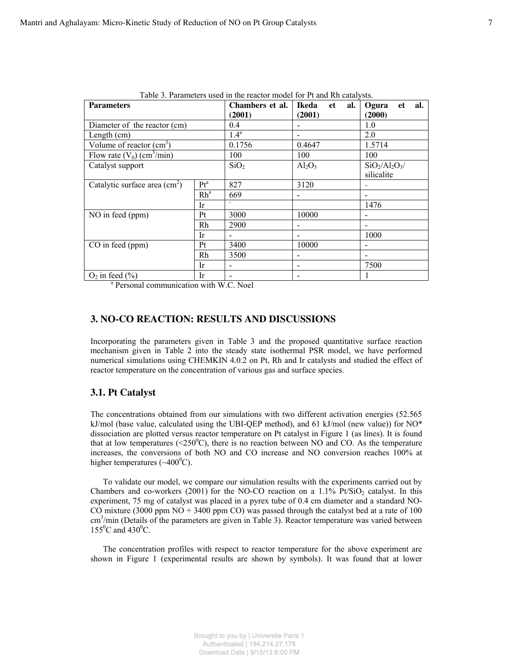| Table 3. Parameters used in the reactor model for Pt and Rh catalysts. |                 |                  |                    |                    |  |  |
|------------------------------------------------------------------------|-----------------|------------------|--------------------|--------------------|--|--|
| <b>Parameters</b>                                                      |                 | Chambers et al.  | Ikeda<br>al.<br>et | Ogura<br>al.<br>et |  |  |
|                                                                        |                 | (2001)           | (2001)             | (2000)             |  |  |
| Diameter of the reactor (cm)                                           |                 | 0.4              |                    | 1.0                |  |  |
| Length $(cm)$                                                          |                 | 1.4 <sup>a</sup> |                    | 2.0                |  |  |
| Volume of reactor $(cm3)$                                              |                 | 0.1756           | 0.4647             | 1.5714             |  |  |
| Flow rate $(V_0)$ (cm <sup>3</sup> /min)                               |                 | 100              | 100                | 100                |  |  |
| Catalyst support                                                       |                 | SiO <sub>2</sub> | $Al_2O_3$          | $SiO_2/Al_2O_3/$   |  |  |
|                                                                        |                 |                  |                    | silicalite         |  |  |
| Catalytic surface area $\text{(cm}^2\text{)}$                          | Pt <sup>a</sup> | 827              | 3120               |                    |  |  |
|                                                                        | Rh <sup>a</sup> | 669              |                    |                    |  |  |
|                                                                        | Ir              | ٠                |                    | 1476               |  |  |
| NO in feed (ppm)                                                       | Pt              | 3000             | 10000              |                    |  |  |
|                                                                        | Rh              | 2900             |                    |                    |  |  |
|                                                                        | Ir              |                  |                    | 1000               |  |  |
| CO in feed (ppm)                                                       | Pt              | 3400             | 10000              |                    |  |  |
|                                                                        | Rh              | 3500             |                    |                    |  |  |
|                                                                        | Ir              |                  |                    | 7500               |  |  |
| $O2$ in feed $(\% )$                                                   | Ir              |                  |                    |                    |  |  |

<sup>a</sup> Personal communication with W.C. Noel

#### **3. NO-CO REACTION: RESULTS AND DISCUSSIONS**

Incorporating the parameters given in Table 3 and the proposed quantitative surface reaction mechanism given in Table 2 into the steady state isothermal PSR model, we have performed numerical simulations using CHEMKIN 4.0.2 on Pt, Rh and Ir catalysts and studied the effect of reactor temperature on the concentration of various gas and surface species.

#### **3.1. Pt Catalyst**

The concentrations obtained from our simulations with two different activation energies (52.565 kJ/mol (base value, calculated using the UBI-QEP method), and 61 kJ/mol (new value)) for  $NO^*$ dissociation are plotted versus reactor temperature on Pt catalyst in Figure 1 (as lines). It is found that at low temperatures ( $\langle 250^{\circ}$ C), there is no reaction between NO and CO. As the temperature increases, the conversions of both NO and CO increase and NO conversion reaches 100% at higher temperatures  $({\sim}400^0C)$ .

To validate our model, we compare our simulation results with the experiments carried out by Chambers and co-workers (2001) for the NO-CO reaction on a  $1.1\%$  Pt/SiO<sub>2</sub> catalyst. In this experiment, 75 mg of catalyst was placed in a pyrex tube of 0.4 cm diameter and a standard NO-CO mixture (3000 ppm  $NO + 3400$  ppm CO) was passed through the catalyst bed at a rate of 100 cm<sup>3</sup>/min (Details of the parameters are given in Table 3). Reactor temperature was varied between  $155^0C$  and  $430^0C$ .

The concentration profiles with respect to reactor temperature for the above experiment are shown in Figure 1 (experimental results are shown by symbols). It was found that at lower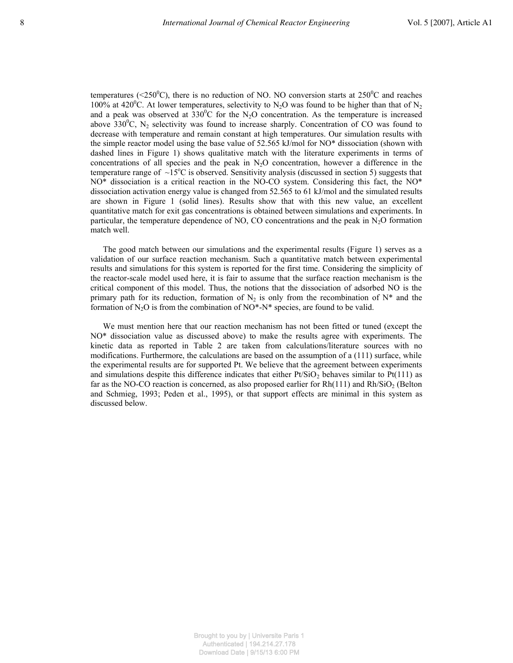temperatures (<250 $^0$ C), there is no reduction of NO. NO conversion starts at 250 $^0$ C and reaches 100% at 420<sup>°</sup>C. At lower temperatures, selectivity to N<sub>2</sub>O was found to be higher than that of N<sub>2</sub> and a peak was observed at  $330^0C$  for the N<sub>2</sub>O concentration. As the temperature is increased above 330<sup>0</sup>C, N<sub>2</sub> selectivity was found to increase sharply. Concentration of CO was found to decrease with temperature and remain constant at high temperatures. Our simulation results with the simple reactor model using the base value of 52.565 kJ/mol for NO\* dissociation (shown with dashed lines in Figure 1) shows qualitative match with the literature experiments in terms of concentrations of all species and the peak in  $N_2O$  concentration, however a difference in the temperature range of  $\sim15^{\circ}$ C is observed. Sensitivity analysis (discussed in section 5) suggests that NO\* dissociation is a critical reaction in the NO-CO system. Considering this fact, the NO\* dissociation activation energy value is changed from 52.565 to 61 kJ/mol and the simulated results are shown in Figure 1 (solid lines). Results show that with this new value, an excellent quantitative match for exit gas concentrations is obtained between simulations and experiments. In particular, the temperature dependence of NO, CO concentrations and the peak in  $N_2O$  formation match well.

The good match between our simulations and the experimental results (Figure 1) serves as a validation of our surface reaction mechanism. Such a quantitative match between experimental results and simulations for this system is reported for the first time. Considering the simplicity of the reactor-scale model used here, it is fair to assume that the surface reaction mechanism is the critical component of this model. Thus, the notions that the dissociation of adsorbed NO is the primary path for its reduction, formation of  $N_2$  is only from the recombination of  $N^*$  and the formation of  $N_2O$  is from the combination of  $NO^*N^*$  species, are found to be valid.

We must mention here that our reaction mechanism has not been fitted or tuned (except the NO\* dissociation value as discussed above) to make the results agree with experiments. The kinetic data as reported in Table 2 are taken from calculations/literature sources with no modifications. Furthermore, the calculations are based on the assumption of a (111) surface, while the experimental results are for supported Pt. We believe that the agreement between experiments and simulations despite this difference indicates that either  $Pt/SiO<sub>2</sub>$  behaves similar to  $Pt(111)$  as far as the NO-CO reaction is concerned, as also proposed earlier for  $Rh(111)$  and  $Rh/SiO<sub>2</sub>$  (Belton and Schmieg, 1993; Peden et al., 1995), or that support effects are minimal in this system as discussed below.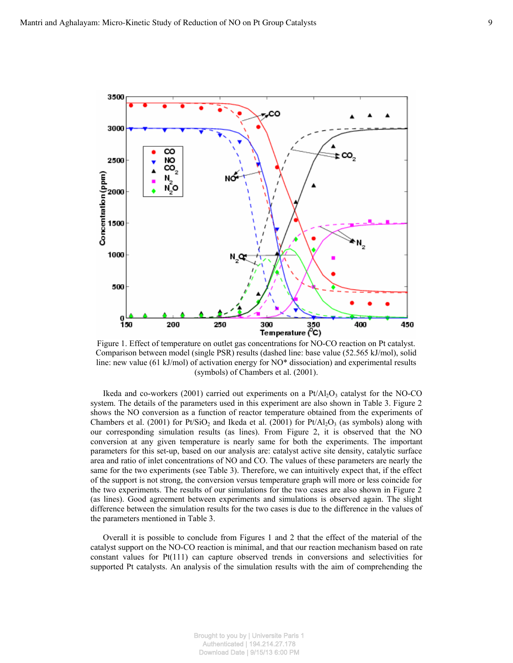

Figure 1. Effect of temperature on outlet gas concentrations for NO-CO reaction on Pt catalyst. Comparison between model (single PSR) results (dashed line: base value (52.565 kJ/mol), solid line: new value (61 kJ/mol) of activation energy for NO\* dissociation) and experimental results (symbols) of Chambers et al. (2001).

Ikeda and co-workers (2001) carried out experiments on a  $Pt/Al_2O_3$  catalyst for the NO-CO system. The details of the parameters used in this experiment are also shown in Table 3. Figure 2 shows the NO conversion as a function of reactor temperature obtained from the experiments of Chambers et al. (2001) for Pt/SiO<sub>2</sub> and Ikeda et al. (2001) for Pt/Al<sub>2</sub>O<sub>3</sub> (as symbols) along with our corresponding simulation results (as lines). From Figure 2, it is observed that the NO conversion at any given temperature is nearly same for both the experiments. The important parameters for this set-up, based on our analysis are: catalyst active site density, catalytic surface area and ratio of inlet concentrations of NO and CO. The values of these parameters are nearly the same for the two experiments (see Table 3). Therefore, we can intuitively expect that, if the effect of the support is not strong, the conversion versus temperature graph will more or less coincide for the two experiments. The results of our simulations for the two cases are also shown in Figure 2 (as lines). Good agreement between experiments and simulations is observed again. The slight difference between the simulation results for the two cases is due to the difference in the values of the parameters mentioned in Table 3.

Overall it is possible to conclude from Figures 1 and 2 that the effect of the material of the catalyst support on the NO-CO reaction is minimal, and that our reaction mechanism based on rate constant values for Pt(111) can capture observed trends in conversions and selectivities for supported Pt catalysts. An analysis of the simulation results with the aim of comprehending the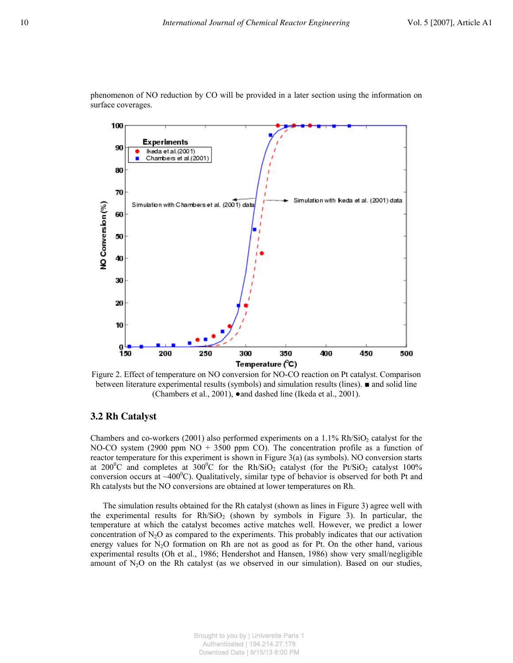

phenomenon of NO reduction by CO will be provided in a later section using the information on surface coverages.

Figure 2. Effect of temperature on NO conversion for NO-CO reaction on Pt catalyst. Comparison between literature experimental results (symbols) and simulation results (lines). ■ and solid line (Chambers et al., 2001), ●and dashed line (Ikeda et al., 2001).

#### **3.2 Rh Catalyst**

Chambers and co-workers (2001) also performed experiments on a  $1.1\%$  Rh/SiO<sub>2</sub> catalyst for the NO-CO system (2900 ppm  $NO + 3500$  ppm CO). The concentration profile as a function of reactor temperature for this experiment is shown in Figure 3(a) (as symbols). NO conversion starts at 200<sup>0</sup>C and completes at 300<sup>0</sup>C for the Rh/SiO<sub>2</sub> catalyst (for the Pt/SiO<sub>2</sub> catalyst 100%) conversion occurs at  $\sim 400^{\circ}$ C). Qualitatively, similar type of behavior is observed for both Pt and Rh catalysts but the NO conversions are obtained at lower temperatures on Rh.

The simulation results obtained for the Rh catalyst (shown as lines in Figure 3) agree well with the experimental results for  $Rh/SiO<sub>2</sub>$  (shown by symbols in Figure 3). In particular, the temperature at which the catalyst becomes active matches well. However, we predict a lower concentration of  $N_2O$  as compared to the experiments. This probably indicates that our activation energy values for  $N<sub>2</sub>O$  formation on Rh are not as good as for Pt. On the other hand, various experimental results (Oh et al., 1986; Hendershot and Hansen, 1986) show very small/negligible amount of  $N_2O$  on the Rh catalyst (as we observed in our simulation). Based on our studies,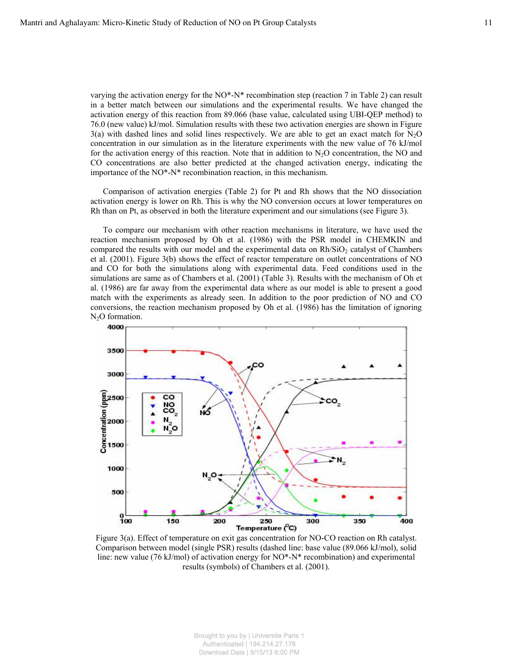varying the activation energy for the NO\*-N\* recombination step (reaction 7 in Table 2) can result in a better match between our simulations and the experimental results. We have changed the activation energy of this reaction from 89.066 (base value, calculated using UBI-QEP method) to 76.0 (new value) kJ/mol. Simulation results with these two activation energies are shown in Figure  $3(a)$  with dashed lines and solid lines respectively. We are able to get an exact match for N<sub>2</sub>O concentration in our simulation as in the literature experiments with the new value of 76 kJ/mol for the activation energy of this reaction. Note that in addition to  $N_2O$  concentration, the NO and CO concentrations are also better predicted at the changed activation energy, indicating the importance of the NO\*-N\* recombination reaction, in this mechanism.

Comparison of activation energies (Table 2) for Pt and Rh shows that the NO dissociation activation energy is lower on Rh. This is why the NO conversion occurs at lower temperatures on Rh than on Pt, as observed in both the literature experiment and our simulations (see Figure 3).

To compare our mechanism with other reaction mechanisms in literature, we have used the reaction mechanism proposed by Oh et al. (1986) with the PSR model in CHEMKIN and compared the results with our model and the experimental data on  $Rh/SiO<sub>2</sub>$  catalyst of Chambers et al. (2001). Figure 3(b) shows the effect of reactor temperature on outlet concentrations of NO and CO for both the simulations along with experimental data. Feed conditions used in the simulations are same as of Chambers et al. (2001) (Table 3). Results with the mechanism of Oh et al. (1986) are far away from the experimental data where as our model is able to present a good match with the experiments as already seen. In addition to the poor prediction of NO and CO conversions, the reaction mechanism proposed by Oh et al. (1986) has the limitation of ignoring N<sub>2</sub>O formation.



Figure 3(a). Effect of temperature on exit gas concentration for NO-CO reaction on Rh catalyst. Comparison between model (single PSR) results (dashed line: base value (89.066 kJ/mol), solid line: new value (76 kJ/mol) of activation energy for NO\*-N\* recombination) and experimental results (symbols) of Chambers et al. (2001).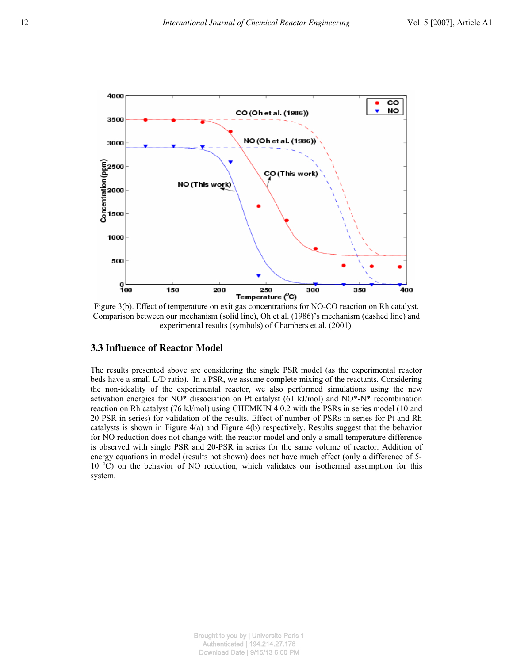

Figure 3(b). Effect of temperature on exit gas concentrations for NO-CO reaction on Rh catalyst. Comparison between our mechanism (solid line), Oh et al. (1986)'s mechanism (dashed line) and experimental results (symbols) of Chambers et al. (2001).

#### **3.3 Influence of Reactor Model**

The results presented above are considering the single PSR model (as the experimental reactor beds have a small L/D ratio). In a PSR, we assume complete mixing of the reactants. Considering the non-ideality of the experimental reactor, we also performed simulations using the new activation energies for NO\* dissociation on Pt catalyst (61 kJ/mol) and NO\*-N\* recombination reaction on Rh catalyst (76 kJ/mol) using CHEMKIN 4.0.2 with the PSRs in series model (10 and 20 PSR in series) for validation of the results. Effect of number of PSRs in series for Pt and Rh catalysts is shown in Figure 4(a) and Figure 4(b) respectively. Results suggest that the behavior for NO reduction does not change with the reactor model and only a small temperature difference is observed with single PSR and 20-PSR in series for the same volume of reactor. Addition of energy equations in model (results not shown) does not have much effect (only a difference of 5-  $10<sup>o</sup>C$ ) on the behavior of NO reduction, which validates our isothermal assumption for this system.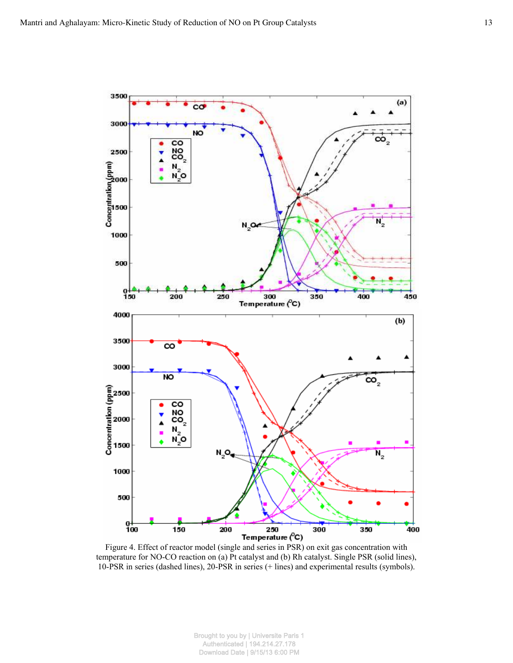

Figure 4. Effect of reactor model (single and series in PSR) on exit gas concentration with temperature for NO-CO reaction on (a) Pt catalyst and (b) Rh catalyst. Single PSR (solid lines), 10-PSR in series (dashed lines), 20-PSR in series (+ lines) and experimental results (symbols).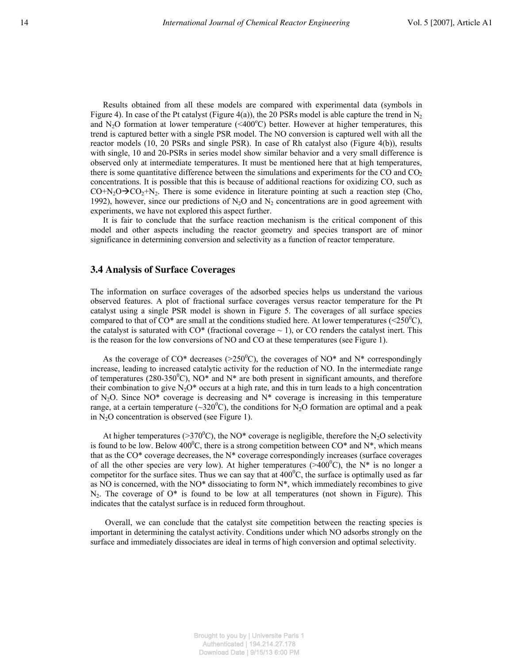Results obtained from all these models are compared with experimental data (symbols in Figure 4). In case of the Pt catalyst (Figure 4(a)), the 20 PSRs model is able capture the trend in N<sub>2</sub> and N<sub>2</sub>O formation at lower temperature (<400°C) better. However at higher temperatures, this trend is captured better with a single PSR model. The NO conversion is captured well with all the reactor models (10, 20 PSRs and single PSR). In case of Rh catalyst also (Figure 4(b)), results with single, 10 and 20-PSRs in series model show similar behavior and a very small difference is observed only at intermediate temperatures. It must be mentioned here that at high temperatures, there is some quantitative difference between the simulations and experiments for the CO and  $CO<sub>2</sub>$ concentrations. It is possible that this is because of additional reactions for oxidizing CO, such as  $CO+N<sub>2</sub>O\rightarrow CO<sub>2</sub>+N<sub>2</sub>$ . There is some evidence in literature pointing at such a reaction step (Cho, 1992), however, since our predictions of  $N_2O$  and  $N_2$  concentrations are in good agreement with experiments, we have not explored this aspect further.

It is fair to conclude that the surface reaction mechanism is the critical component of this model and other aspects including the reactor geometry and species transport are of minor significance in determining conversion and selectivity as a function of reactor temperature.

#### **3.4 Analysis of Surface Coverages**

The information on surface coverages of the adsorbed species helps us understand the various observed features. A plot of fractional surface coverages versus reactor temperature for the Pt catalyst using a single PSR model is shown in Figure 5. The coverages of all surface species compared to that of  $CO^*$  are small at the conditions studied here. At lower temperatures ( $\langle 250^{\circ} \text{C} \rangle$ , the catalyst is saturated with  $CO^*$  (fractional coverage  $\sim$  1), or CO renders the catalyst inert. This is the reason for the low conversions of NO and CO at these temperatures (see Figure 1).

As the coverage of CO\* decreases ( $>250^{\circ}$ C), the coverages of NO\* and N\* correspondingly increase, leading to increased catalytic activity for the reduction of NO. In the intermediate range of temperatures (280-350<sup>°</sup>C), NO<sup>\*</sup> and N<sup>\*</sup> are both present in significant amounts, and therefore their combination to give  $N_2O^*$  occurs at a high rate, and this in turn leads to a high concentration of  $N_2O$ . Since  $NO^*$  coverage is decreasing and  $N^*$  coverage is increasing in this temperature range, at a certain temperature ( $\sim$ 320<sup>o</sup>C), the conditions for N<sub>2</sub>O formation are optimal and a peak in  $N_2O$  concentration is observed (see Figure 1).

At higher temperatures (>370<sup>o</sup>C), the NO\* coverage is negligible, therefore the N<sub>2</sub>O selectivity is found to be low. Below 400<sup>o</sup>C, there is a strong competition between  $CO^*$  and  $N^*$ , which means that as the CO\* coverage decreases, the N\* coverage correspondingly increases (surface coverages of all the other species are very low). At higher temperatures ( $>400^{\circ}$ C), the N\* is no longer a competitor for the surface sites. Thus we can say that at  $400^{\circ}$ C, the surface is optimally used as far as NO is concerned, with the NO\* dissociating to form  $N^*$ , which immediately recombines to give  $N<sub>2</sub>$ . The coverage of  $O^*$  is found to be low at all temperatures (not shown in Figure). This indicates that the catalyst surface is in reduced form throughout.

 Overall, we can conclude that the catalyst site competition between the reacting species is important in determining the catalyst activity. Conditions under which NO adsorbs strongly on the surface and immediately dissociates are ideal in terms of high conversion and optimal selectivity.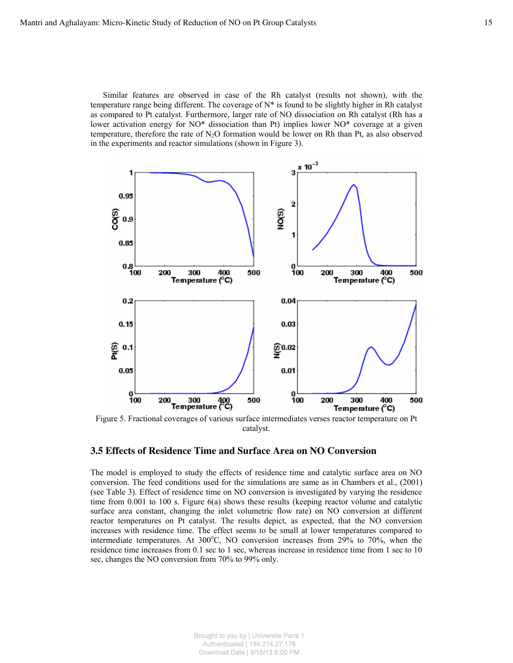Similar features are observed in case of the Rh catalyst (results not shown), with the temperature range being different. The coverage of  $N^*$  is found to be slightly higher in Rh catalyst as compared to Pt catalyst. Furthermore, larger rate of NO dissociation on Rh catalyst (Rh has a lower activation energy for NO\* dissociation than Pt) implies lower NO\* coverage at a given temperature, therefore the rate of  $N_2O$  formation would be lower on Rh than Pt, as also observed in the experiments and reactor simulations (shown in Figure 3).



Figure 5. Fractional coverages of various surface intermediates verses reactor temperature on Pt catalyst.

### **3.5 Effects of Residence Time and Surface Area on NO Conversion**

The model is employed to study the effects of residence time and catalytic surface area on NO conversion. The feed conditions used for the simulations are same as in Chambers et al., (2001) (see Table 3). Effect of residence time on NO conversion is investigated by varying the residence time from  $0.001$  to 100 s. Figure  $6(a)$  shows these results (keeping reactor volume and catalytic surface area constant, changing the inlet volumetric flow rate) on NO conversion at different reactor temperatures on Pt catalyst. The results depict, as expected, that the NO conversion increases with residence time. The effect seems to be small at lower temperatures compared to intermediate temperatures. At  $300^{\circ}$ C, NO conversion increases from 29% to 70%, when the residence time increases from 0.1 sec to 1 sec, whereas increase in residence time from 1 sec to 10 sec, changes the NO conversion from 70% to 99% only.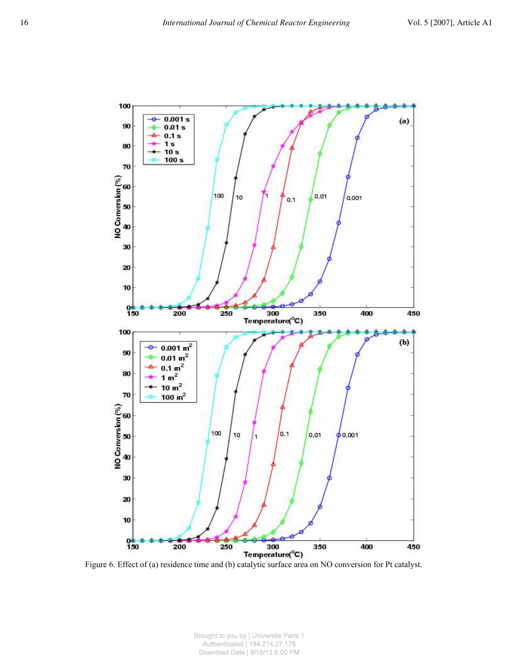

Figure 6. Effect of (a) residence time and (b) catalytic surface area on NO conversion for Pt catalyst.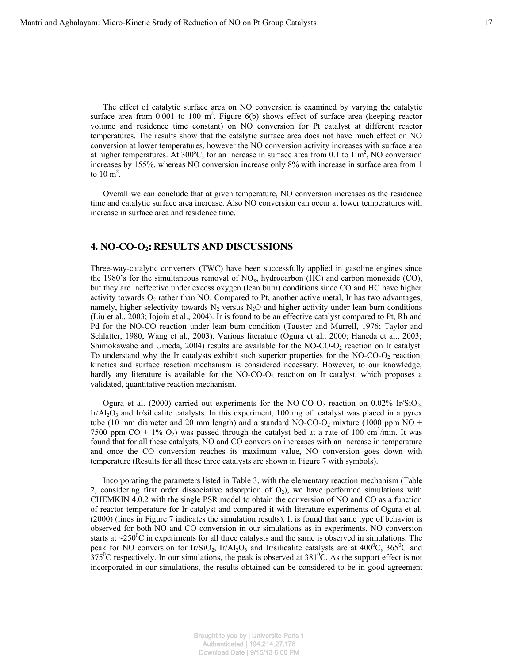The effect of catalytic surface area on NO conversion is examined by varying the catalytic surface area from  $0.001$  to  $100 \text{ m}^2$ . Figure  $6(b)$  shows effect of surface area (keeping reactor volume and residence time constant) on NO conversion for Pt catalyst at different reactor temperatures. The results show that the catalytic surface area does not have much effect on NO conversion at lower temperatures, however the NO conversion activity increases with surface area at higher temperatures. At 300°C, for an increase in surface area from 0.1 to 1  $m^2$ , NO conversion increases by 155%, whereas NO conversion increase only 8% with increase in surface area from 1 to  $10 \text{ m}^2$ .

Overall we can conclude that at given temperature, NO conversion increases as the residence time and catalytic surface area increase. Also NO conversion can occur at lower temperatures with increase in surface area and residence time.

#### **4. NO-CO-O2: RESULTS AND DISCUSSIONS**

Three-way-catalytic converters (TWC) have been successfully applied in gasoline engines since the 1980's for the simultaneous removal of  $NO<sub>x</sub>$ , hydrocarbon (HC) and carbon monoxide (CO), but they are ineffective under excess oxygen (lean burn) conditions since CO and HC have higher activity towards  $O_2$  rather than NO. Compared to Pt, another active metal, Ir has two advantages, namely, higher selectivity towards  $N_2$  versus  $N_2O$  and higher activity under lean burn conditions (Liu et al., 2003; Iojoiu et al., 2004). Ir is found to be an effective catalyst compared to Pt, Rh and Pd for the NO-CO reaction under lean burn condition (Tauster and Murrell, 1976; Taylor and Schlatter, 1980; Wang et al., 2003). Various literature (Ogura et al., 2000; Haneda et al., 2003; Shimokawabe and Umeda, 2004) results are available for the NO-CO-O2 reaction on Ir catalyst. To understand why the Ir catalysts exhibit such superior properties for the NO-CO-O<sub>2</sub> reaction, kinetics and surface reaction mechanism is considered necessary. However, to our knowledge, hardly any literature is available for the  $NO-CO-O<sub>2</sub>$  reaction on Ir catalyst, which proposes a validated, quantitative reaction mechanism.

Ogura et al. (2000) carried out experiments for the NO-CO-O<sub>2</sub> reaction on 0.02% Ir/SiO<sub>2</sub>,  $Ir/Al<sub>2</sub>O<sub>3</sub>$  and Ir/silicalite catalysts. In this experiment, 100 mg of catalyst was placed in a pyrex tube (10 mm diameter and 20 mm length) and a standard NO-CO-O<sub>2</sub> mixture (1000 ppm NO + 7500 ppm CO + 1%  $O_2$ ) was passed through the catalyst bed at a rate of 100 cm<sup>3</sup>/min. It was found that for all these catalysts, NO and CO conversion increases with an increase in temperature and once the CO conversion reaches its maximum value, NO conversion goes down with temperature (Results for all these three catalysts are shown in Figure 7 with symbols).

Incorporating the parameters listed in Table 3, with the elementary reaction mechanism (Table 2, considering first order dissociative adsorption of  $O<sub>2</sub>$ ), we have performed simulations with CHEMKIN 4.0.2 with the single PSR model to obtain the conversion of NO and CO as a function of reactor temperature for Ir catalyst and compared it with literature experiments of Ogura et al. (2000) (lines in Figure 7 indicates the simulation results). It is found that same type of behavior is observed for both NO and CO conversion in our simulations as in experiments. NO conversion starts at  $\sim$ 250 $\degree$ C in experiments for all three catalysts and the same is observed in simulations. The peak for NO conversion for Ir/SiO<sub>2</sub>, Ir/Al<sub>2</sub>O<sub>3</sub> and Ir/silicalite catalysts are at 400<sup>o</sup>C, 365<sup>o</sup>C and  $375^{\circ}$ C respectively. In our simulations, the peak is observed at  $381^{\circ}$ C. As the support effect is not incorporated in our simulations, the results obtained can be considered to be in good agreement

> Brought to you by | Universite Paris 1 Authenticated | 194.214.27.178 Download Date | 9/15/13 6:00 PM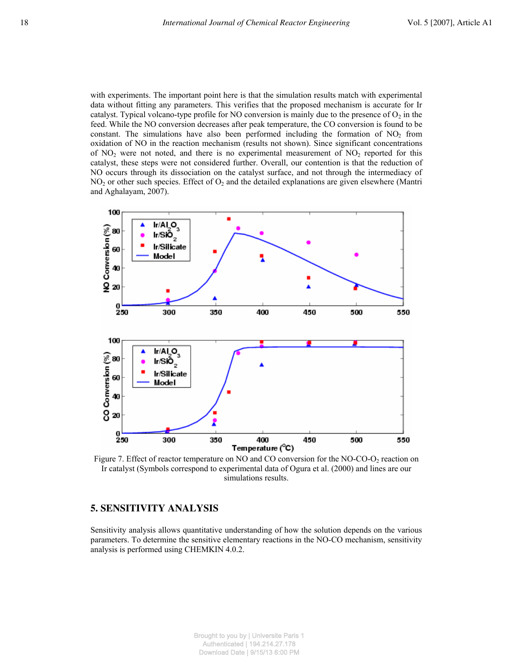with experiments. The important point here is that the simulation results match with experimental data without fitting any parameters. This verifies that the proposed mechanism is accurate for Ir catalyst. Typical volcano-type profile for NO conversion is mainly due to the presence of  $O_2$  in the feed. While the NO conversion decreases after peak temperature, the CO conversion is found to be constant. The simulations have also been performed including the formation of  $NO<sub>2</sub>$  from oxidation of NO in the reaction mechanism (results not shown). Since significant concentrations of  $NO<sub>2</sub>$  were not noted, and there is no experimental measurement of  $NO<sub>2</sub>$  reported for this catalyst, these steps were not considered further. Overall, our contention is that the reduction of NO occurs through its dissociation on the catalyst surface, and not through the intermediacy of  $NO<sub>2</sub>$  or other such species. Effect of  $O<sub>2</sub>$  and the detailed explanations are given elsewhere (Mantri and Aghalayam, 2007).



Figure 7. Effect of reactor temperature on NO and CO conversion for the NO-CO- $O<sub>2</sub>$  reaction on Ir catalyst (Symbols correspond to experimental data of Ogura et al. (2000) and lines are our simulations results.

# **5. SENSITIVITY ANALYSIS**

Sensitivity analysis allows quantitative understanding of how the solution depends on the various parameters. To determine the sensitive elementary reactions in the NO-CO mechanism, sensitivity analysis is performed using CHEMKIN 4.0.2.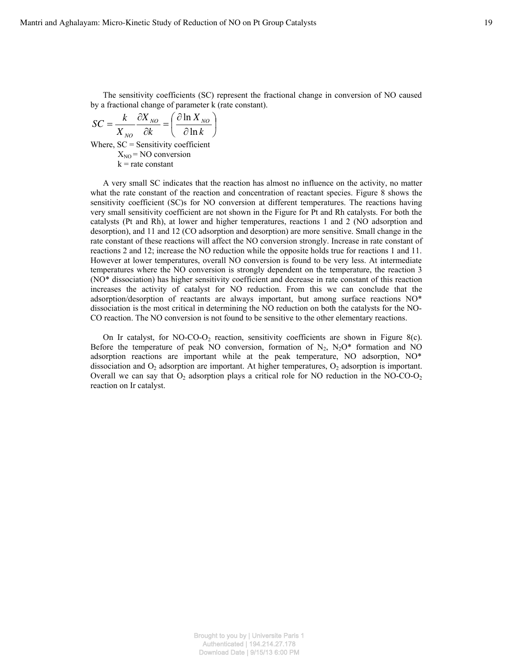The sensitivity coefficients (SC) represent the fractional change in conversion of NO caused by a fractional change of parameter k (rate constant).

$$
SC = \frac{k}{X_{NO}} \frac{\partial X_{NO}}{\partial k} = \left(\frac{\partial \ln X_{NO}}{\partial \ln k}\right)
$$
  
Where, SC = Sensitivity coefficient  

$$
X_{NO} = NO \text{ conversion}
$$

$$
k = \text{rate constant}
$$

A very small SC indicates that the reaction has almost no influence on the activity, no matter what the rate constant of the reaction and concentration of reactant species. Figure 8 shows the sensitivity coefficient (SC)s for NO conversion at different temperatures. The reactions having very small sensitivity coefficient are not shown in the Figure for Pt and Rh catalysts. For both the catalysts (Pt and Rh), at lower and higher temperatures, reactions 1 and 2 (NO adsorption and desorption), and 11 and 12 (CO adsorption and desorption) are more sensitive. Small change in the rate constant of these reactions will affect the NO conversion strongly. Increase in rate constant of reactions 2 and 12; increase the NO reduction while the opposite holds true for reactions 1 and 11. However at lower temperatures, overall NO conversion is found to be very less. At intermediate temperatures where the NO conversion is strongly dependent on the temperature, the reaction 3 (NO\* dissociation) has higher sensitivity coefficient and decrease in rate constant of this reaction increases the activity of catalyst for NO reduction. From this we can conclude that the adsorption/desorption of reactants are always important, but among surface reactions NO\* dissociation is the most critical in determining the NO reduction on both the catalysts for the NO-CO reaction. The NO conversion is not found to be sensitive to the other elementary reactions.

On Ir catalyst, for NO-CO-O<sub>2</sub> reaction, sensitivity coefficients are shown in Figure 8(c). Before the temperature of peak NO conversion, formation of  $N_2$ ,  $N_2O^*$  formation and NO adsorption reactions are important while at the peak temperature, NO adsorption, NO\* dissociation and  $O_2$  adsorption are important. At higher temperatures,  $O_2$  adsorption is important. Overall we can say that  $O_2$  adsorption plays a critical role for NO reduction in the NO-CO- $O_2$ reaction on Ir catalyst.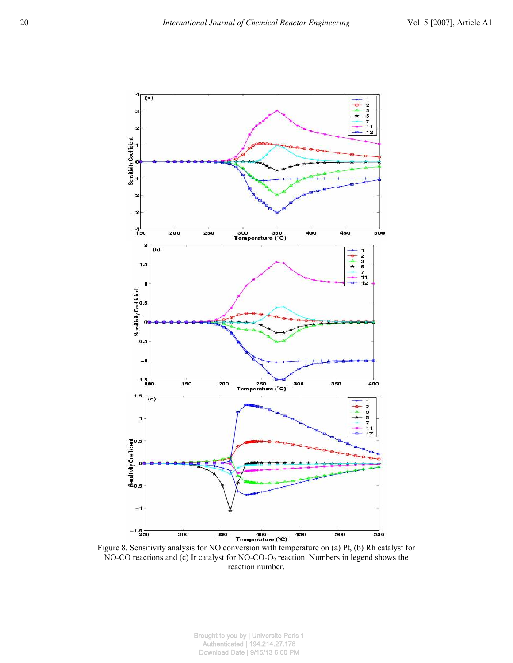

Figure 8. Sensitivity analysis for NO conversion with temperature on (a) Pt, (b) Rh catalyst for NO-CO reactions and (c) Ir catalyst for NO-CO-O<sub>2</sub> reaction. Numbers in legend shows the reaction number.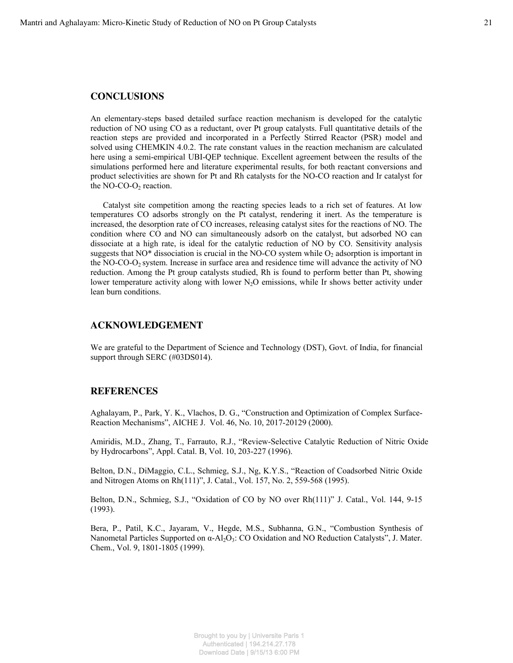### **CONCLUSIONS**

An elementary-steps based detailed surface reaction mechanism is developed for the catalytic reduction of NO using CO as a reductant, over Pt group catalysts. Full quantitative details of the reaction steps are provided and incorporated in a Perfectly Stirred Reactor (PSR) model and solved using CHEMKIN 4.0.2. The rate constant values in the reaction mechanism are calculated here using a semi-empirical UBI-QEP technique. Excellent agreement between the results of the simulations performed here and literature experimental results, for both reactant conversions and product selectivities are shown for Pt and Rh catalysts for the NO-CO reaction and Ir catalyst for the  $NO$ - $CO$ - $O$ <sub>2</sub> reaction.

Catalyst site competition among the reacting species leads to a rich set of features. At low temperatures CO adsorbs strongly on the Pt catalyst, rendering it inert. As the temperature is increased, the desorption rate of CO increases, releasing catalyst sites for the reactions of NO. The condition where CO and NO can simultaneously adsorb on the catalyst, but adsorbed NO can dissociate at a high rate, is ideal for the catalytic reduction of NO by CO. Sensitivity analysis suggests that NO\* dissociation is crucial in the NO-CO system while  $O_2$  adsorption is important in the NO-CO-O2 system. Increase in surface area and residence time will advance the activity of NO reduction. Among the Pt group catalysts studied, Rh is found to perform better than Pt, showing lower temperature activity along with lower  $N_2O$  emissions, while Ir shows better activity under lean burn conditions.

#### **ACKNOWLEDGEMENT**

We are grateful to the Department of Science and Technology (DST), Govt. of India, for financial support through SERC (#03DS014).

#### **REFERENCES**

Aghalayam, P., Park, Y. K., Vlachos, D. G., "Construction and Optimization of Complex Surface-Reaction Mechanisms", AICHE J. Vol. 46, No. 10, 2017-20129 (2000).

Amiridis, M.D., Zhang, T., Farrauto, R.J., "Review-Selective Catalytic Reduction of Nitric Oxide by Hydrocarbons", Appl. Catal. B, Vol. 10, 203-227 (1996).

Belton, D.N., DiMaggio, C.L., Schmieg, S.J., Ng, K.Y.S., "Reaction of Coadsorbed Nitric Oxide and Nitrogen Atoms on Rh(111)", J. Catal., Vol. 157, No. 2, 559-568 (1995).

Belton, D.N., Schmieg, S.J., "Oxidation of CO by NO over Rh(111)" J. Catal., Vol. 144, 9-15 (1993).

Bera, P., Patil, K.C., Jayaram, V., Hegde, M.S., Subhanna, G.N., "Combustion Synthesis of Nanometal Particles Supported on  $\alpha$ -Al<sub>2</sub>O<sub>3</sub>: CO Oxidation and NO Reduction Catalysts", J. Mater. Chem., Vol. 9, 1801-1805 (1999).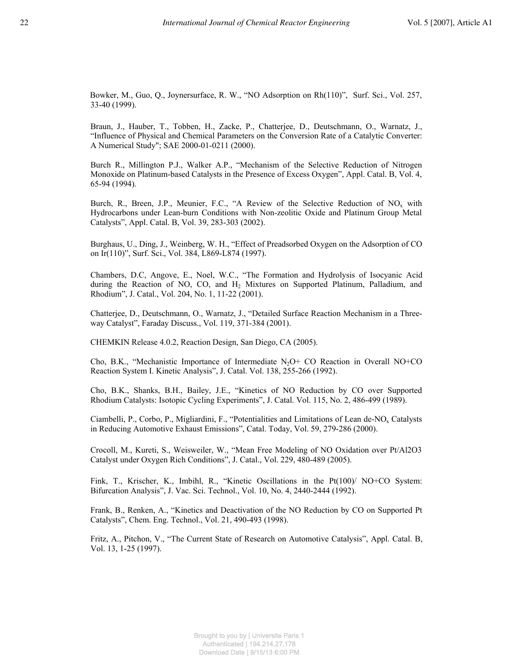Bowker, M., Guo, Q., Joynersurface, R. W., "NO Adsorption on Rh(110)", Surf. Sci., Vol. 257, 33-40 (1999).

Braun, J., Hauber, T., Tobben, H., Zacke, P., Chatterjee, D., Deutschmann, O., Warnatz, J., "Influence of Physical and Chemical Parameters on the Conversion Rate of a Catalytic Converter: A Numerical Study"; SAE 2000-01-0211 (2000).

Burch R., Millington P.J., Walker A.P., "Mechanism of the Selective Reduction of Nitrogen Monoxide on Platinum-based Catalysts in the Presence of Excess Oxygen", Appl. Catal. B, Vol. 4, 65-94 (1994).

Burch, R., Breen, J.P., Meunier, F.C., "A Review of the Selective Reduction of  $NO_x$  with Hydrocarbons under Lean-burn Conditions with Non-zeolitic Oxide and Platinum Group Metal Catalysts", Appl. Catal. B, Vol. 39, 283-303 (2002).

Burghaus, U., Ding, J., Weinberg, W. H., "Effect of Preadsorbed Oxygen on the Adsorption of CO on Ir(110)", Surf. Sci., Vol. 384, L869-L874 (1997).

Chambers, D.C, Angove, E., Noel, W.C., "The Formation and Hydrolysis of Isocyanic Acid during the Reaction of NO, CO, and  $H_2$  Mixtures on Supported Platinum, Palladium, and Rhodium", J. Catal., Vol. 204, No. 1, 11-22 (2001).

Chatterjee, D., Deutschmann, O., Warnatz, J., "Detailed Surface Reaction Mechanism in a Threeway Catalyst", Faraday Discuss., Vol. 119, 371-384 (2001).

CHEMKIN Release 4.0.2, Reaction Design, San Diego, CA (2005).

Cho, B.K., "Mechanistic Importance of Intermediate  $N_2O+$  CO Reaction in Overall NO+CO Reaction System I. Kinetic Analysis", J. Catal. Vol. 138, 255-266 (1992).

Cho, B.K., Shanks, B.H., Bailey, J.E., "Kinetics of NO Reduction by CO over Supported Rhodium Catalysts: Isotopic Cycling Experiments", J. Catal. Vol. 115, No. 2, 486-499 (1989).

Ciambelli, P., Corbo, P., Migliardini, F., "Potentialities and Limitations of Lean de-NOx Catalysts in Reducing Automotive Exhaust Emissions", Catal. Today, Vol. 59, 279-286 (2000).

Crocoll, M., Kureti, S., Weisweiler, W., "Mean Free Modeling of NO Oxidation over Pt/Al2O3 Catalyst under Oxygen Rich Conditions", J. Catal., Vol. 229, 480-489 (2005).

Fink, T., Krischer, K., Imbihl, R., "Kinetic Oscillations in the Pt(100)/ NO+CO System: Bifurcation Analysis", J. Vac. Sci. Technol., Vol. 10, No. 4, 2440-2444 (1992).

Frank, B., Renken, A., "Kinetics and Deactivation of the NO Reduction by CO on Supported Pt Catalysts", Chem. Eng. Technol., Vol. 21, 490-493 (1998).

Fritz, A., Pitchon, V., "The Current State of Research on Automotive Catalysis", Appl. Catal. B, Vol. 13, 1-25 (1997).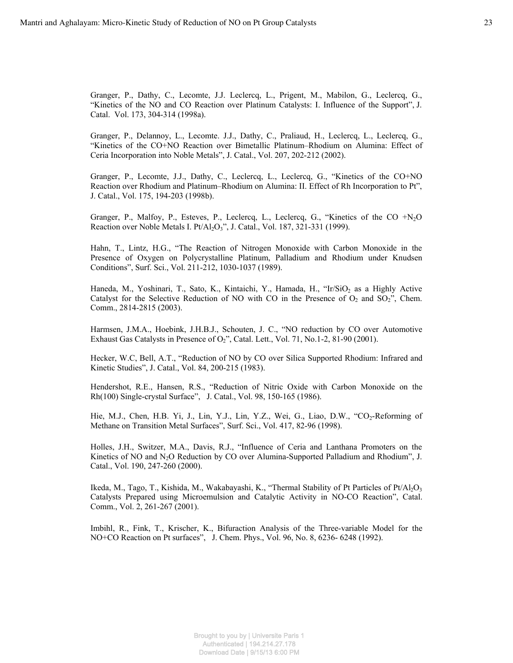Granger, P., Dathy, C., Lecomte, J.J. Leclercq, L., Prigent, M., Mabilon, G., Leclercq, G., "Kinetics of the NO and CO Reaction over Platinum Catalysts: I. Influence of the Support", J. Catal. Vol. 173, 304-314 (1998a).

Granger, P., Delannoy, L., Lecomte. J.J., Dathy, C., Praliaud, H., Leclercq, L., Leclercq, G., "Kinetics of the CO+NO Reaction over Bimetallic Platinum–Rhodium on Alumina: Effect of Ceria Incorporation into Noble Metals", J. Catal., Vol. 207, 202-212 (2002).

Granger, P., Lecomte, J.J., Dathy, C., Leclercq, L., Leclercq, G., "Kinetics of the CO+NO Reaction over Rhodium and Platinum–Rhodium on Alumina: II. Effect of Rh Incorporation to Pt", J. Catal., Vol. 175, 194-203 (1998b).

Granger, P., Malfoy, P., Esteves, P., Leclercq, L., Leclercq, G., "Kinetics of the CO +N2O Reaction over Noble Metals I. Pt/Al<sub>2</sub>O<sub>3</sub>", J. Catal., Vol. 187, 321-331 (1999).

Hahn, T., Lintz, H.G., "The Reaction of Nitrogen Monoxide with Carbon Monoxide in the Presence of Oxygen on Polycrystalline Platinum, Palladium and Rhodium under Knudsen Conditions", Surf. Sci., Vol. 211-212, 1030-1037 (1989).

Haneda, M., Yoshinari, T., Sato, K., Kintaichi, Y., Hamada, H., "Ir/SiO<sub>2</sub> as a Highly Active Catalyst for the Selective Reduction of NO with CO in the Presence of  $O_2$  and  $SO_2$ ", Chem. Comm., 2814-2815 (2003).

Harmsen, J.M.A., Hoebink, J.H.B.J., Schouten, J. C., "NO reduction by CO over Automotive Exhaust Gas Catalysts in Presence of  $O<sub>2</sub>$ ", Catal. Lett., Vol. 71, No.1-2, 81-90 (2001).

Hecker, W.C, Bell, A.T., "Reduction of NO by CO over Silica Supported Rhodium: Infrared and Kinetic Studies", J. Catal., Vol. 84, 200-215 (1983).

Hendershot, R.E., Hansen, R.S., "Reduction of Nitric Oxide with Carbon Monoxide on the Rh(100) Single-crystal Surface", J. Catal., Vol. 98, 150-165 (1986).

Hie, M.J., Chen, H.B. Yi, J., Lin, Y.J., Lin, Y.Z., Wei, G., Liao, D.W., "CO<sub>2</sub>-Reforming of Methane on Transition Metal Surfaces", Surf. Sci., Vol. 417, 82-96 (1998).

Holles, J.H., Switzer, M.A., Davis, R.J., "Influence of Ceria and Lanthana Promoters on the Kinetics of NO and  $N_2O$  Reduction by CO over Alumina-Supported Palladium and Rhodium", J. Catal., Vol. 190, 247-260 (2000).

Ikeda, M., Tago, T., Kishida, M., Wakabayashi, K., "Thermal Stability of Pt Particles of Pt/Al2O<sup>3</sup> Catalysts Prepared using Microemulsion and Catalytic Activity in NO-CO Reaction", Catal. Comm., Vol. 2, 261-267 (2001).

Imbihl, R., Fink, T., Krischer, K., Bifuraction Analysis of the Three-variable Model for the NO+CO Reaction on Pt surfaces", J. Chem. Phys., Vol. 96, No. 8, 6236- 6248 (1992).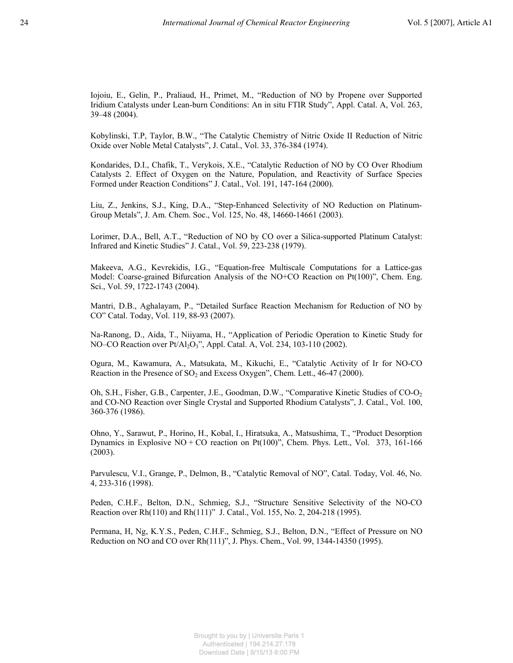Iojoiu, E., Gelin, P., Praliaud, H., Primet, M., "Reduction of NO by Propene over Supported Iridium Catalysts under Lean-burn Conditions: An in situ FTIR Study", Appl. Catal. A, Vol. 263, 39–48 (2004).

Kobylinski, T.P, Taylor, B.W., "The Catalytic Chemistry of Nitric Oxide II Reduction of Nitric Oxide over Noble Metal Catalysts", J. Catal., Vol. 33, 376-384 (1974).

Kondarides, D.I., Chafik, T., Verykois, X.E., "Catalytic Reduction of NO by CO Over Rhodium Catalysts 2. Effect of Oxygen on the Nature, Population, and Reactivity of Surface Species Formed under Reaction Conditions" J. Catal., Vol. 191, 147-164 (2000).

Liu, Z., Jenkins, S.J., King, D.A., "Step-Enhanced Selectivity of NO Reduction on Platinum-Group Metals", J. Am. Chem. Soc., Vol. 125, No. 48, 14660-14661 (2003).

Lorimer, D.A., Bell, A.T., "Reduction of NO by CO over a Silica-supported Platinum Catalyst: Infrared and Kinetic Studies" J. Catal., Vol. 59, 223-238 (1979).

Makeeva, A.G., Kevrekidis, I.G., "Equation-free Multiscale Computations for a Lattice-gas Model: Coarse-grained Bifurcation Analysis of the NO+CO Reaction on Pt(100)", Chem. Eng. Sci., Vol. 59, 1722-1743 (2004).

Mantri, D.B., Aghalayam, P., "Detailed Surface Reaction Mechanism for Reduction of NO by CO" Catal. Today, Vol. 119, 88-93 (2007).

Na-Ranong, D., Aida, T., Niiyama, H., "Application of Periodic Operation to Kinetic Study for NO–CO Reaction over Pt/Al<sub>2</sub>O<sub>3</sub>", Appl. Catal. A, Vol. 234, 103-110 (2002).

Ogura, M., Kawamura, A., Matsukata, M., Kikuchi, E., "Catalytic Activity of Ir for NO-CO Reaction in the Presence of  $SO_2$  and Excess Oxygen", Chem. Lett., 46-47 (2000).

Oh, S.H., Fisher, G.B., Carpenter, J.E., Goodman, D.W., "Comparative Kinetic Studies of CO-O<sup>2</sup> and CO-NO Reaction over Single Crystal and Supported Rhodium Catalysts", J. Catal., Vol. 100, 360-376 (1986).

Ohno, Y., Sarawut, P., Horino, H., Kobal, I., Hiratsuka, A., Matsushima, T., "Product Desorption Dynamics in Explosive  $NO + CO$  reaction on  $Pt(100)$ ", Chem. Phys. Lett., Vol. 373, 161-166 (2003).

Parvulescu, V.I., Grange, P., Delmon, B., "Catalytic Removal of NO", Catal. Today, Vol. 46, No. 4, 233-316 (1998).

Peden, C.H.F., Belton, D.N., Schmieg, S.J., "Structure Sensitive Selectivity of the NO-CO Reaction over Rh(110) and Rh(111)" J. Catal., Vol. 155, No. 2, 204-218 (1995).

Permana, H, Ng, K.Y.S., Peden, C.H.F., Schmieg, S.J., Belton, D.N., "Effect of Pressure on NO Reduction on NO and CO over Rh(111)", J. Phys. Chem., Vol. 99, 1344-14350 (1995).